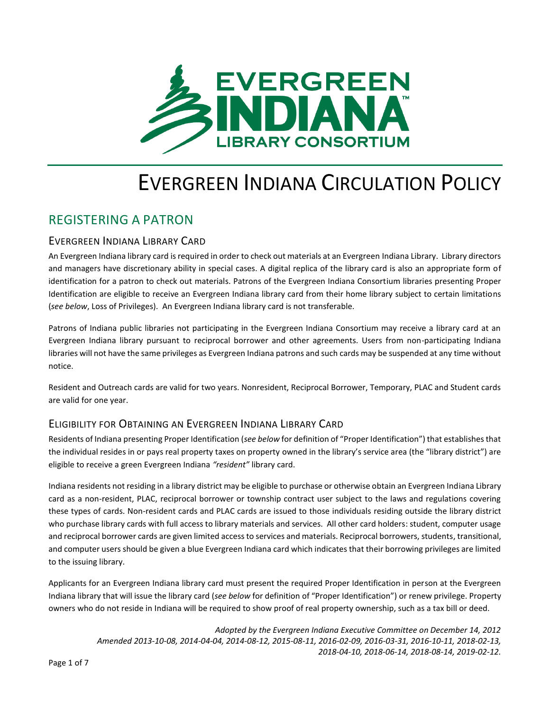

# EVERGREEN INDIANA CIRCULATION POLICY

## REGISTERING A PATRON

## EVERGREEN INDIANA LIBRARY CARD

An Evergreen Indiana library card is required in order to check out materials at an Evergreen Indiana Library. Library directors and managers have discretionary ability in special cases. A digital replica of the library card is also an appropriate form of identification for a patron to check out materials. Patrons of the Evergreen Indiana Consortium libraries presenting Proper Identification are eligible to receive an Evergreen Indiana library card from their home library subject to certain limitations (*see below*, Loss of Privileges). An Evergreen Indiana library card is not transferable.

Patrons of Indiana public libraries not participating in the Evergreen Indiana Consortium may receive a library card at an Evergreen Indiana library pursuant to reciprocal borrower and other agreements. Users from non-participating Indiana libraries will not have the same privileges as Evergreen Indiana patrons and such cards may be suspended at any time without notice.

Resident and Outreach cards are valid for two years. Nonresident, Reciprocal Borrower, Temporary, PLAC and Student cards are valid for one year.

## ELIGIBILITY FOR OBTAINING AN EVERGREEN INDIANA LIBRARY CARD

Residents of Indiana presenting Proper Identification (*see below* for definition of "Proper Identification") that establishes that the individual resides in or pays real property taxes on property owned in the library's service area (the "library district") are eligible to receive a green Evergreen Indiana *"resident"* library card.

Indiana residents not residing in a library district may be eligible to purchase or otherwise obtain an Evergreen Indiana Library card as a non-resident, PLAC, reciprocal borrower or township contract user subject to the laws and regulations covering these types of cards. Non-resident cards and PLAC cards are issued to those individuals residing outside the library district who purchase library cards with full access to library materials and services. All other card holders: student, computer usage and reciprocal borrower cards are given limited access to services and materials. Reciprocal borrowers, students, transitional, and computer users should be given a blue Evergreen Indiana card which indicates that their borrowing privileges are limited to the issuing library.

Applicants for an Evergreen Indiana library card must present the required Proper Identification in person at the Evergreen Indiana library that will issue the library card (*see below* for definition of "Proper Identification") or renew privilege. Property owners who do not reside in Indiana will be required to show proof of real property ownership, such as a tax bill or deed.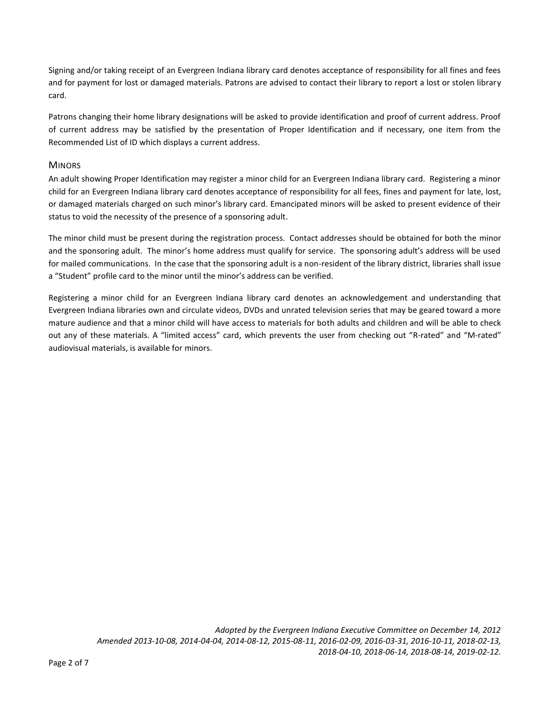Signing and/or taking receipt of an Evergreen Indiana library card denotes acceptance of responsibility for all fines and fees and for payment for lost or damaged materials. Patrons are advised to contact their library to report a lost or stolen library card.

Patrons changing their home library designations will be asked to provide identification and proof of current address. Proof of current address may be satisfied by the presentation of Proper Identification and if necessary, one item from the Recommended List of ID which displays a current address.

#### **MINORS**

An adult showing Proper Identification may register a minor child for an Evergreen Indiana library card. Registering a minor child for an Evergreen Indiana library card denotes acceptance of responsibility for all fees, fines and payment for late, lost, or damaged materials charged on such minor's library card. Emancipated minors will be asked to present evidence of their status to void the necessity of the presence of a sponsoring adult.

The minor child must be present during the registration process. Contact addresses should be obtained for both the minor and the sponsoring adult. The minor's home address must qualify for service. The sponsoring adult's address will be used for mailed communications. In the case that the sponsoring adult is a non-resident of the library district, libraries shall issue a "Student" profile card to the minor until the minor's address can be verified.

Registering a minor child for an Evergreen Indiana library card denotes an acknowledgement and understanding that Evergreen Indiana libraries own and circulate videos, DVDs and unrated television series that may be geared toward a more mature audience and that a minor child will have access to materials for both adults and children and will be able to check out any of these materials. A "limited access" card, which prevents the user from checking out "R-rated" and "M-rated" audiovisual materials, is available for minors.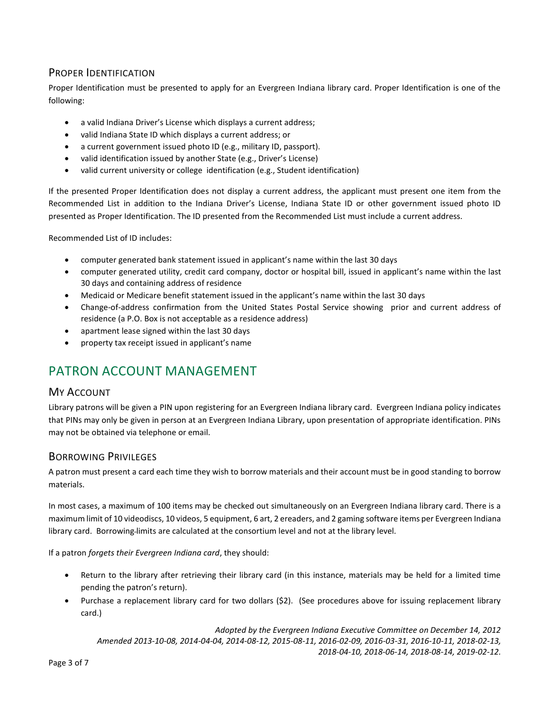## PROPER IDENTIFICATION

Proper Identification must be presented to apply for an Evergreen Indiana library card. Proper Identification is one of the following:

- a valid Indiana Driver's License which displays a current address;
- valid Indiana State ID which displays a current address; or
- a current government issued photo ID (e.g., military ID, passport).
- valid identification issued by another State (e.g., Driver's License)
- valid current university or college identification (e.g., Student identification)

If the presented Proper Identification does not display a current address, the applicant must present one item from the Recommended List in addition to the Indiana Driver's License, Indiana State ID or other government issued photo ID presented as Proper Identification. The ID presented from the Recommended List must include a current address.

Recommended List of ID includes:

- computer generated bank statement issued in applicant's name within the last 30 days
- computer generated utility, credit card company, doctor or hospital bill, issued in applicant's name within the last 30 days and containing address of residence
- Medicaid or Medicare benefit statement issued in the applicant's name within the last 30 days
- Change-of-address confirmation from the United States Postal Service showing prior and current address of residence (a P.O. Box is not acceptable as a residence address)
- apartment lease signed within the last 30 days
- property tax receipt issued in applicant's name

# PATRON ACCOUNT MANAGEMENT

#### MY ACCOUNT

Library patrons will be given a PIN upon registering for an Evergreen Indiana library card. Evergreen Indiana policy indicates that PINs may only be given in person at an Evergreen Indiana Library, upon presentation of appropriate identification. PINs may not be obtained via telephone or email.

#### BORROWING PRIVILEGES

A patron must present a card each time they wish to borrow materials and their account must be in good standing to borrow materials.

In most cases, a maximum of 100 items may be checked out simultaneously on an Evergreen Indiana library card. There is a maximum limit of 10 videodiscs, 10 videos, 5 equipment, 6 art, 2 ereaders, and 2 gaming software items per Evergreen Indiana library card. Borrowing-limits are calculated at the consortium level and not at the library level.

If a patron *forgets their Evergreen Indiana card*, they should:

- Return to the library after retrieving their library card (in this instance, materials may be held for a limited time pending the patron's return).
- Purchase a replacement library card for two dollars (\$2). (See procedures above for issuing replacement library card.)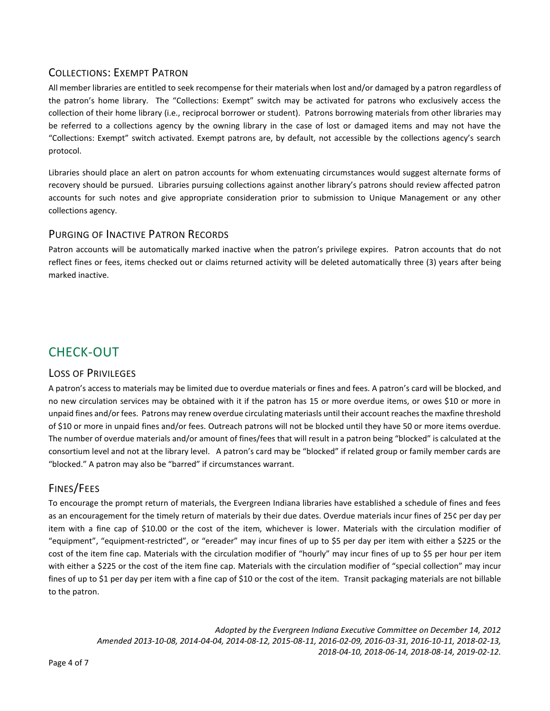## COLLECTIONS: EXEMPT PATRON

All member libraries are entitled to seek recompense for their materials when lost and/or damaged by a patron regardless of the patron's home library. The "Collections: Exempt" switch may be activated for patrons who exclusively access the collection of their home library (i.e., reciprocal borrower or student). Patrons borrowing materials from other libraries may be referred to a collections agency by the owning library in the case of lost or damaged items and may not have the "Collections: Exempt" switch activated. Exempt patrons are, by default, not accessible by the collections agency's search protocol.

Libraries should place an alert on patron accounts for whom extenuating circumstances would suggest alternate forms of recovery should be pursued. Libraries pursuing collections against another library's patrons should review affected patron accounts for such notes and give appropriate consideration prior to submission to Unique Management or any other collections agency.

## PURGING OF INACTIVE PATRON RECORDS

Patron accounts will be automatically marked inactive when the patron's privilege expires. Patron accounts that do not reflect fines or fees, items checked out or claims returned activity will be deleted automatically three (3) years after being marked inactive.

# CHECK-OUT

#### LOSS OF PRIVILEGES

A patron's access to materials may be limited due to overdue materials or fines and fees. A patron's card will be blocked, and no new circulation services may be obtained with it if the patron has 15 or more overdue items, or owes \$10 or more in unpaid fines and/or fees. Patrons may renew overdue circulating materiasls until their account reaches the maxfine threshold of \$10 or more in unpaid fines and/or fees. Outreach patrons will not be blocked until they have 50 or more items overdue. The number of overdue materials and/or amount of fines/fees that will result in a patron being "blocked" is calculated at the consortium level and not at the library level. A patron's card may be "blocked" if related group or family member cards are "blocked." A patron may also be "barred" if circumstances warrant.

## FINES/FEES

To encourage the prompt return of materials, the Evergreen Indiana libraries have established a schedule of fines and fees as an encouragement for the timely return of materials by their due dates. Overdue materials incur fines of 25¢ per day per item with a fine cap of \$10.00 or the cost of the item, whichever is lower. Materials with the circulation modifier of "equipment", "equipment-restricted", or "ereader" may incur fines of up to \$5 per day per item with either a \$225 or the cost of the item fine cap. Materials with the circulation modifier of "hourly" may incur fines of up to \$5 per hour per item with either a \$225 or the cost of the item fine cap. Materials with the circulation modifier of "special collection" may incur fines of up to \$1 per day per item with a fine cap of \$10 or the cost of the item. Transit packaging materials are not billable to the patron.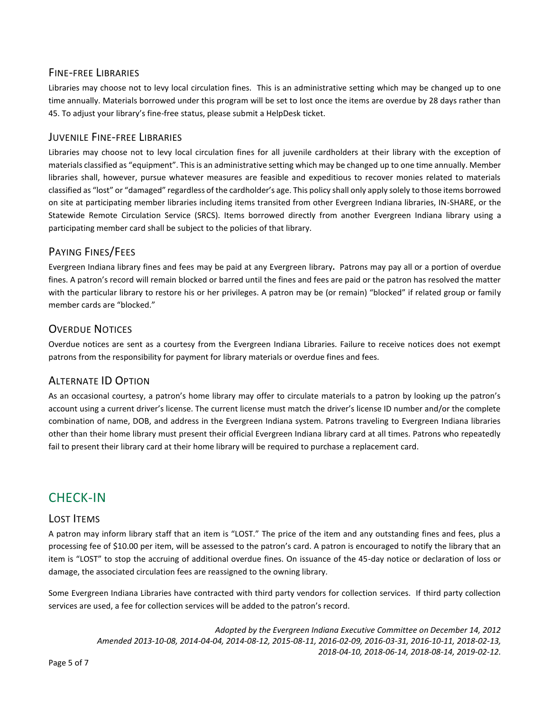## FINE-FREE LIBRARIES

Libraries may choose not to levy local circulation fines. This is an administrative setting which may be changed up to one time annually. Materials borrowed under this program will be set to lost once the items are overdue by 28 days rather than 45. To adjust your library's fine-free status, please submit a HelpDesk ticket.

#### JUVENILE FINE-FREE LIBRARIES

Libraries may choose not to levy local circulation fines for all juvenile cardholders at their library with the exception of materials classified as "equipment". This is an administrative setting which may be changed up to one time annually. Member libraries shall, however, pursue whatever measures are feasible and expeditious to recover monies related to materials classified as "lost" or "damaged" regardless of the cardholder's age. This policy shall only apply solely to those items borrowed on site at participating member libraries including items transited from other Evergreen Indiana libraries, IN-SHARE, or the Statewide Remote Circulation Service (SRCS). Items borrowed directly from another Evergreen Indiana library using a participating member card shall be subject to the policies of that library.

## PAYING FINES/FEES

Evergreen Indiana library fines and fees may be paid at any Evergreen library**.** Patrons may pay all or a portion of overdue fines. A patron's record will remain blocked or barred until the fines and fees are paid or the patron has resolved the matter with the particular library to restore his or her privileges. A patron may be (or remain) "blocked" if related group or family member cards are "blocked."

## OVERDUE NOTICES

Overdue notices are sent as a courtesy from the Evergreen Indiana Libraries. Failure to receive notices does not exempt patrons from the responsibility for payment for library materials or overdue fines and fees.

## ALTERNATE ID OPTION

As an occasional courtesy, a patron's home library may offer to circulate materials to a patron by looking up the patron's account using a current driver's license. The current license must match the driver's license ID number and/or the complete combination of name, DOB, and address in the Evergreen Indiana system. Patrons traveling to Evergreen Indiana libraries other than their home library must present their official Evergreen Indiana library card at all times. Patrons who repeatedly fail to present their library card at their home library will be required to purchase a replacement card.

# CHECK-IN

#### LOST ITEMS

A patron may inform library staff that an item is "LOST." The price of the item and any outstanding fines and fees, plus a processing fee of \$10.00 per item, will be assessed to the patron's card. A patron is encouraged to notify the library that an item is "LOST" to stop the accruing of additional overdue fines. On issuance of the 45-day notice or declaration of loss or damage, the associated circulation fees are reassigned to the owning library.

Some Evergreen Indiana Libraries have contracted with third party vendors for collection services. If third party collection services are used, a fee for collection services will be added to the patron's record.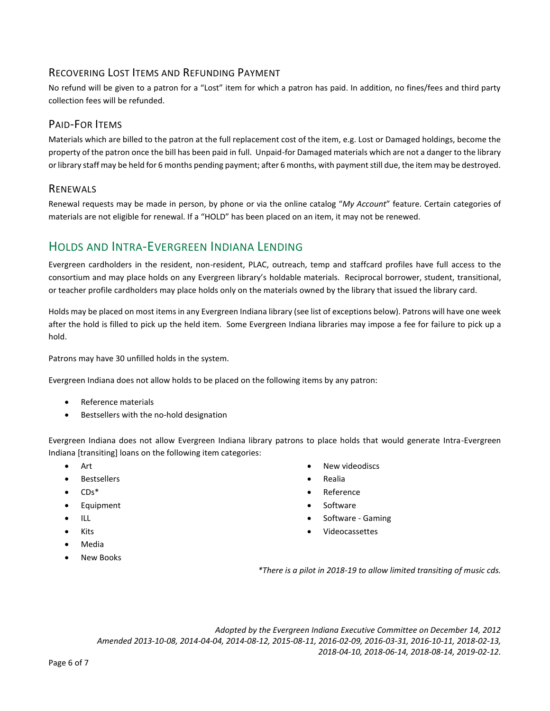## RECOVERING LOST ITEMS AND REFUNDING PAYMENT

No refund will be given to a patron for a "Lost" item for which a patron has paid. In addition, no fines/fees and third party collection fees will be refunded.

## PAID-FOR ITEMS

Materials which are billed to the patron at the full replacement cost of the item, e.g. Lost or Damaged holdings, become the property of the patron once the bill has been paid in full. Unpaid-for Damaged materials which are not a danger to the library or library staff may be held for 6 months pending payment; after 6 months, with payment still due, the item may be destroyed.

## RENEWALS

Renewal requests may be made in person, by phone or via the online catalog "*My Account*" feature. Certain categories of materials are not eligible for renewal. If a "HOLD" has been placed on an item, it may not be renewed.

## HOLDS AND INTRA-EVERGREEN INDIANA LENDING

Evergreen cardholders in the resident, non-resident, PLAC, outreach, temp and staffcard profiles have full access to the consortium and may place holds on any Evergreen library's holdable materials. Reciprocal borrower, student, transitional, or teacher profile cardholders may place holds only on the materials owned by the library that issued the library card.

Holds may be placed on most items in any Evergreen Indiana library (see list of exceptions below). Patrons will have one week after the hold is filled to pick up the held item. Some Evergreen Indiana libraries may impose a fee for failure to pick up a hold.

Patrons may have 30 unfilled holds in the system.

Evergreen Indiana does not allow holds to be placed on the following items by any patron:

- Reference materials
- Bestsellers with the no-hold designation

Evergreen Indiana does not allow Evergreen Indiana library patrons to place holds that would generate Intra-Evergreen Indiana [transiting] loans on the following item categories:

- Art
- Bestsellers
- $\bullet$   $CDs^*$
- **•** Equipment
- $\bullet$  ILL
- Kits
- Media
- New Books
- New videodiscs
- Realia
- Reference
- Software
- Software Gaming
- Videocassettes

*\*There is a pilot in 2018-19 to allow limited transiting of music cds.*